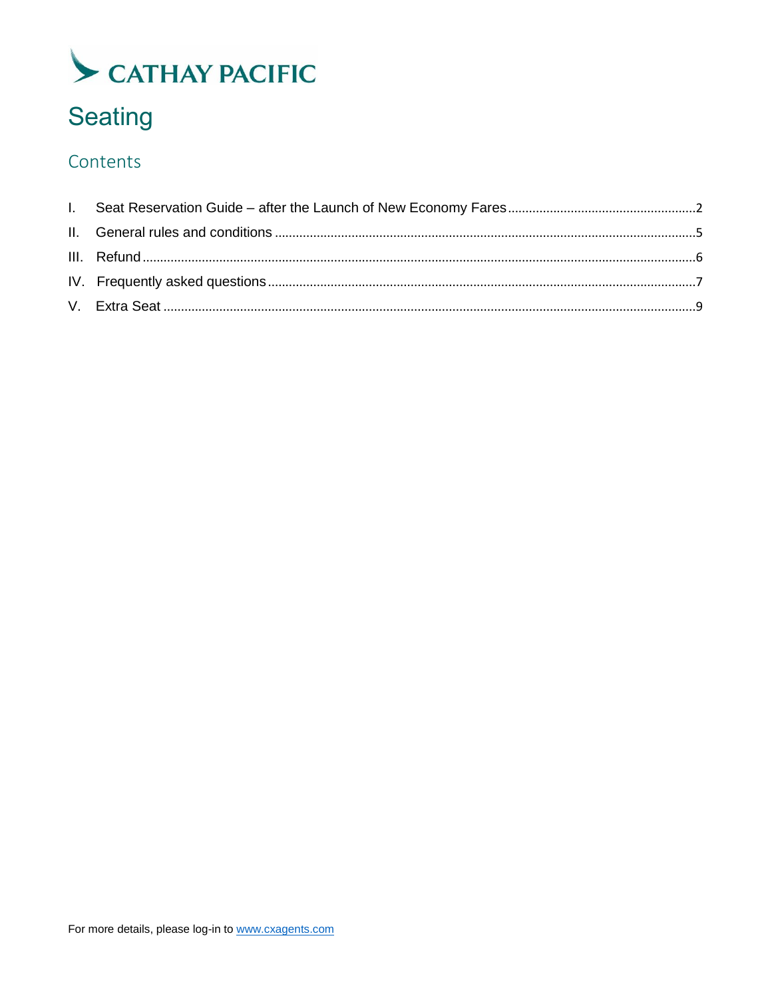## **Seating**

### Contents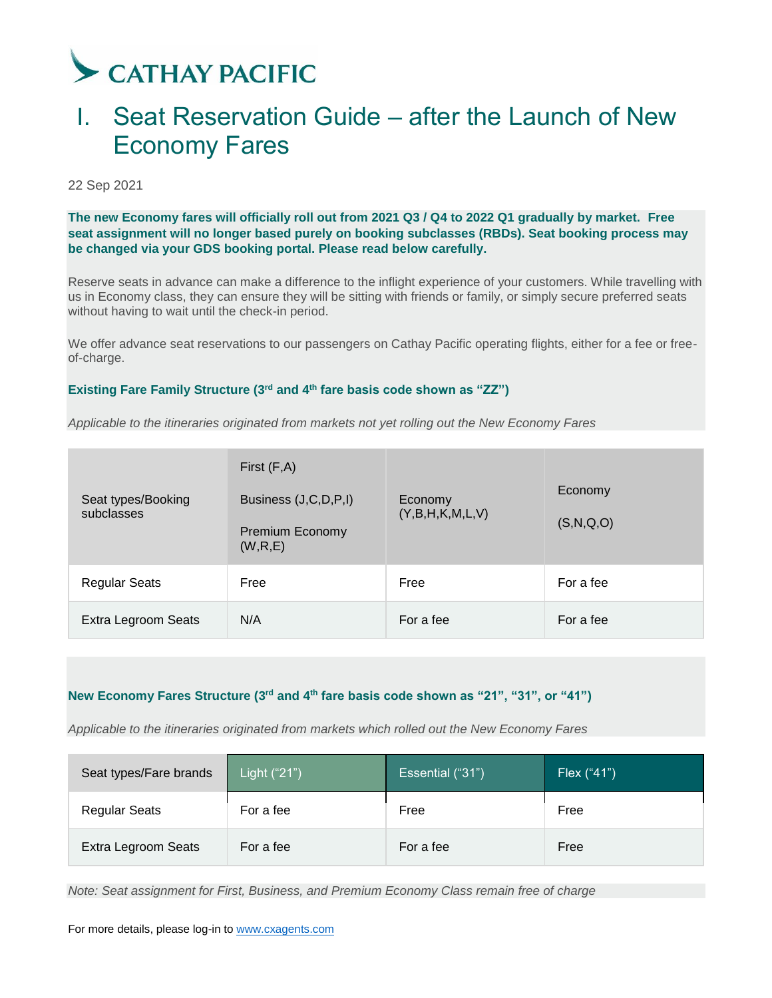### <span id="page-1-0"></span>I. Seat Reservation Guide – after the Launch of New Economy Fares

22 Sep 2021

**The new Economy fares will officially roll out from 2021 Q3 / Q4 to 2022 Q1 gradually by market. Free seat assignment will no longer based purely on booking subclasses (RBDs). Seat booking process may be changed via your GDS booking portal. Please read below carefully.**

Reserve seats in advance can make a difference to the inflight experience of your customers. While travelling with us in Economy class, they can ensure they will be sitting with friends or family, or simply secure preferred seats without having to wait until the check-in period.

We offer advance seat reservations to our passengers on Cathay Pacific operating flights, either for a fee or freeof-charge.

### Existing Fare Family Structure (3<sup>rd</sup> and 4<sup>th</sup> fare basis code shown as "ZZ")

*Applicable to the itineraries originated from markets not yet rolling out the New Economy Fares*

| Seat types/Booking<br>subclasses | First $(F,A)$<br>Business (J,C,D,P,I)<br>Premium Economy<br>(W,R,E) | Economy<br>(Y, B, H, K, M, L, V) | Economy<br>(S, N, Q, O) |
|----------------------------------|---------------------------------------------------------------------|----------------------------------|-------------------------|
| <b>Regular Seats</b>             | Free                                                                | Free                             | For a fee               |
| Extra Legroom Seats              | N/A                                                                 | For a fee                        | For a fee               |

### **New Economy Fares Structure (3 rd and 4 th fare basis code shown as "21", "31", or "41")**

*Applicable to the itineraries originated from markets which rolled out the New Economy Fares*

| Seat types/Fare brands | Light ("21") | Essential ("31") | Flex ("41") |
|------------------------|--------------|------------------|-------------|
| <b>Regular Seats</b>   | For a fee    | Free             | Free        |
| Extra Legroom Seats    | For a fee    | For a fee        | Free        |

*Note: Seat assignment for First, Business, and Premium Economy Class remain free of charge*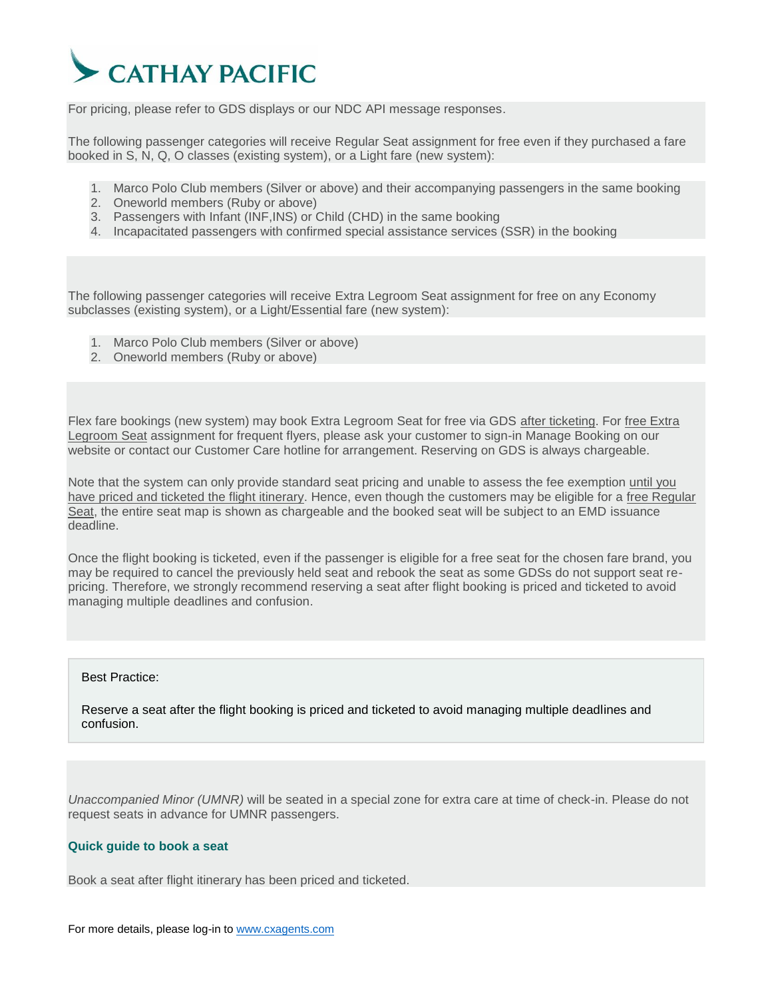

For pricing, please refer to GDS displays or our NDC API message responses.

The following passenger categories will receive Regular Seat assignment for free even if they purchased a fare booked in S, N, Q, O classes (existing system), or a Light fare (new system):

- 1. Marco Polo Club members (Silver or above) and their accompanying passengers in the same booking
- 2. Oneworld members (Ruby or above)
- 3. Passengers with Infant (INF,INS) or Child (CHD) in the same booking
- 4. Incapacitated passengers with confirmed special assistance services (SSR) in the booking

The following passenger categories will receive Extra Legroom Seat assignment for free on any Economy subclasses (existing system), or a Light/Essential fare (new system):

- 1. Marco Polo Club members (Silver or above)
- 2. Oneworld members (Ruby or above)

Flex fare bookings (new system) may book Extra Legroom Seat for free via GDS after ticketing. For free Extra Legroom Seat assignment for frequent flyers, please ask your customer to sign-in Manage Booking on our website or contact our Customer Care hotline for arrangement. Reserving on GDS is always chargeable.

Note that the system can only provide standard seat pricing and unable to assess the fee exemption until you have priced and ticketed the flight itinerary. Hence, even though the customers may be eligible for a free Regular Seat, the entire seat map is shown as chargeable and the booked seat will be subject to an EMD issuance deadline.

Once the flight booking is ticketed, even if the passenger is eligible for a free seat for the chosen fare brand, you may be required to cancel the previously held seat and rebook the seat as some GDSs do not support seat repricing. Therefore, we strongly recommend reserving a seat after flight booking is priced and ticketed to avoid managing multiple deadlines and confusion.

#### Best Practice:

Reserve a seat after the flight booking is priced and ticketed to avoid managing multiple deadlines and confusion.

*Unaccompanied Minor (UMNR)* will be seated in a special zone for extra care at time of check-in. Please do not request seats in advance for UMNR passengers.

#### **Quick guide to book a seat**

Book a seat after flight itinerary has been priced and ticketed.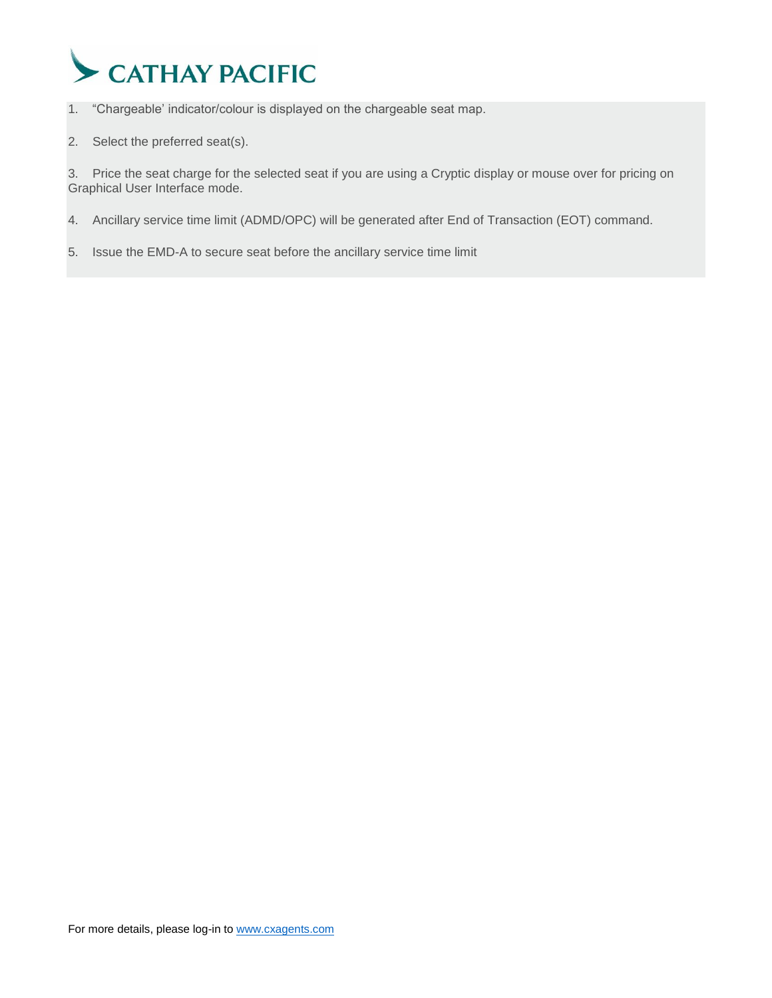

1. "Chargeable' indicator/colour is displayed on the chargeable seat map.

2. Select the preferred seat(s).

3. Price the seat charge for the selected seat if you are using a Cryptic display or mouse over for pricing on Graphical User Interface mode.

- 4. Ancillary service time limit (ADMD/OPC) will be generated after End of Transaction (EOT) command.
- 5. Issue the EMD-A to secure seat before the ancillary service time limit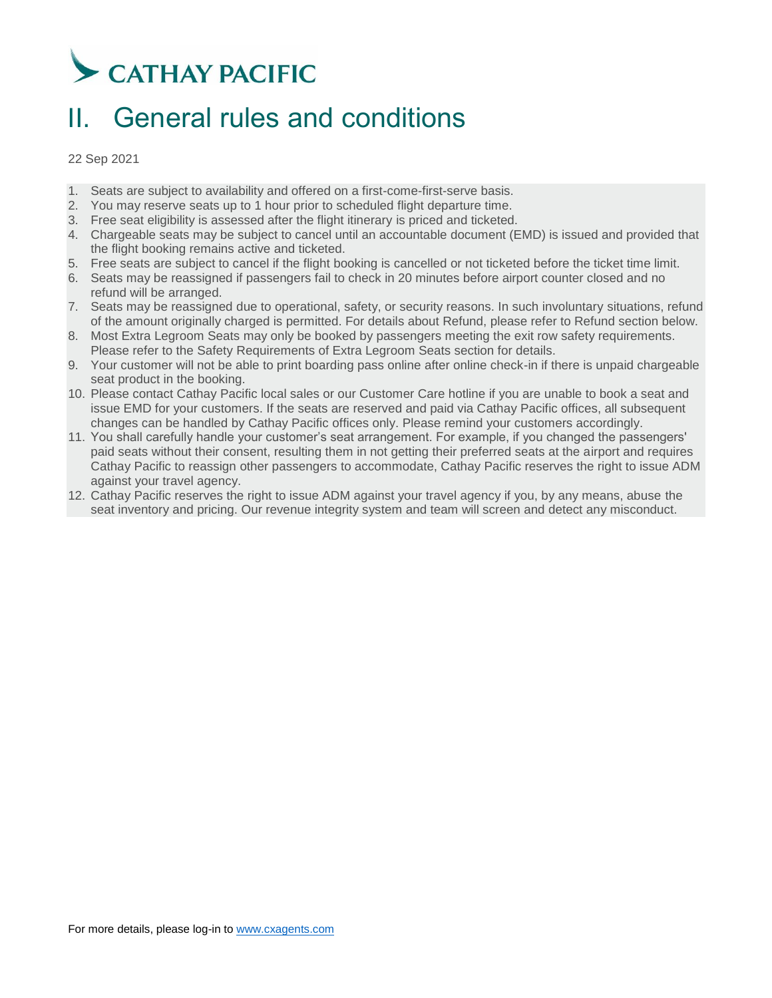## <span id="page-4-0"></span>II. General rules and conditions

22 Sep 2021

- 1. Seats are subject to availability and offered on a first-come-first-serve basis.
- 2. You may reserve seats up to 1 hour prior to scheduled flight departure time.
- 3. Free seat eligibility is assessed after the flight itinerary is priced and ticketed.
- 4. Chargeable seats may be subject to cancel until an accountable document (EMD) is issued and provided that the flight booking remains active and ticketed.
- 5. Free seats are subject to cancel if the flight booking is cancelled or not ticketed before the ticket time limit.
- 6. Seats may be reassigned if passengers fail to check in 20 minutes before airport counter closed and no refund will be arranged.
- 7. Seats may be reassigned due to operational, safety, or security reasons. In such involuntary situations, refund of the amount originally charged is permitted. For details about Refund, please refer to Refund section below.
- 8. Most Extra Legroom Seats may only be booked by passengers meeting the exit row safety requirements. Please refer to the Safety Requirements of Extra Legroom Seats section for details.
- 9. Your customer will not be able to print boarding pass online after online check-in if there is unpaid chargeable seat product in the booking.
- 10. Please contact Cathay Pacific local sales or our Customer Care hotline if you are unable to book a seat and issue EMD for your customers. If the seats are reserved and paid via Cathay Pacific offices, all subsequent changes can be handled by Cathay Pacific offices only. Please remind your customers accordingly.
- 11. You shall carefully handle your customer's seat arrangement. For example, if you changed the passengers' paid seats without their consent, resulting them in not getting their preferred seats at the airport and requires Cathay Pacific to reassign other passengers to accommodate, Cathay Pacific reserves the right to issue ADM against your travel agency.
- 12. Cathay Pacific reserves the right to issue ADM against your travel agency if you, by any means, abuse the seat inventory and pricing. Our revenue integrity system and team will screen and detect any misconduct.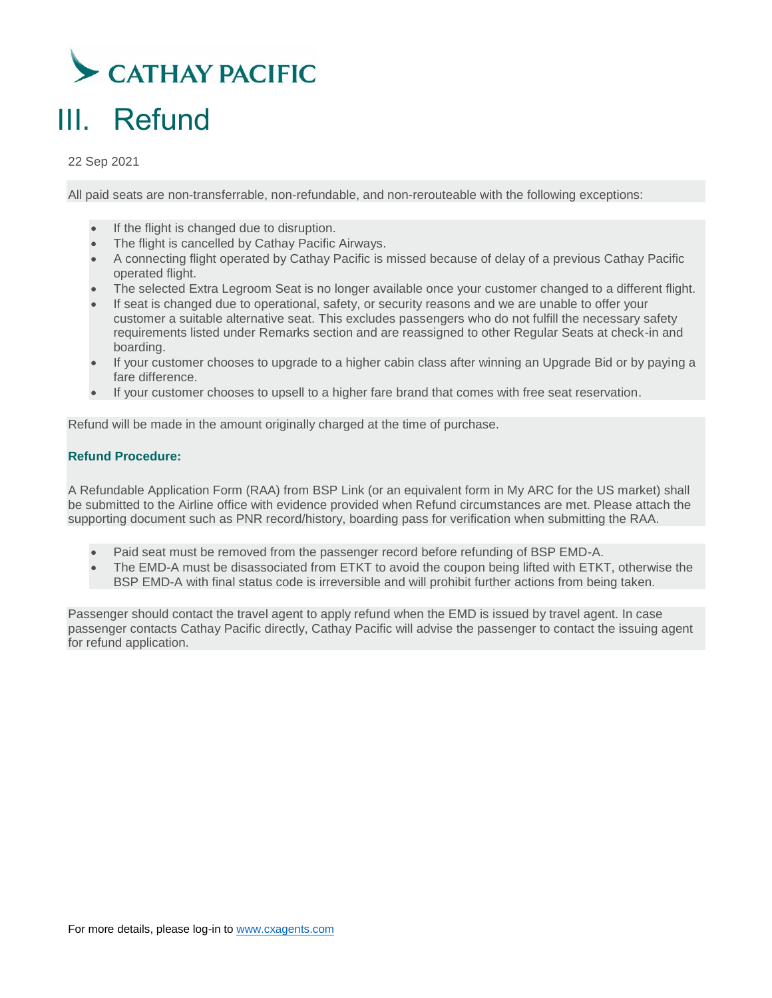

## <span id="page-5-0"></span>III. Refund

22 Sep 2021

All paid seats are non-transferrable, non-refundable, and non-rerouteable with the following exceptions:

- If the flight is changed due to disruption.
- The flight is cancelled by Cathay Pacific Airways.
- A connecting flight operated by Cathay Pacific is missed because of delay of a previous Cathay Pacific operated flight.
- The selected Extra Legroom Seat is no longer available once your customer changed to a different flight.
- If seat is changed due to operational, safety, or security reasons and we are unable to offer your customer a suitable alternative seat. This excludes passengers who do not fulfill the necessary safety requirements listed under Remarks section and are reassigned to other Regular Seats at check-in and boarding.
- If your customer chooses to upgrade to a higher cabin class after winning an Upgrade Bid or by paying a fare difference.
- If your customer chooses to upsell to a higher fare brand that comes with free seat reservation.

Refund will be made in the amount originally charged at the time of purchase.

### **Refund Procedure:**

A Refundable Application Form (RAA) from BSP Link (or an equivalent form in My ARC for the US market) shall be submitted to the Airline office with evidence provided when Refund circumstances are met. Please attach the supporting document such as PNR record/history, boarding pass for verification when submitting the RAA.

- Paid seat must be removed from the passenger record before refunding of BSP EMD-A.
- The EMD-A must be disassociated from ETKT to avoid the coupon being lifted with ETKT, otherwise the BSP EMD-A with final status code is irreversible and will prohibit further actions from being taken.

Passenger should contact the travel agent to apply refund when the EMD is issued by travel agent. In case passenger contacts Cathay Pacific directly, Cathay Pacific will advise the passenger to contact the issuing agent for refund application.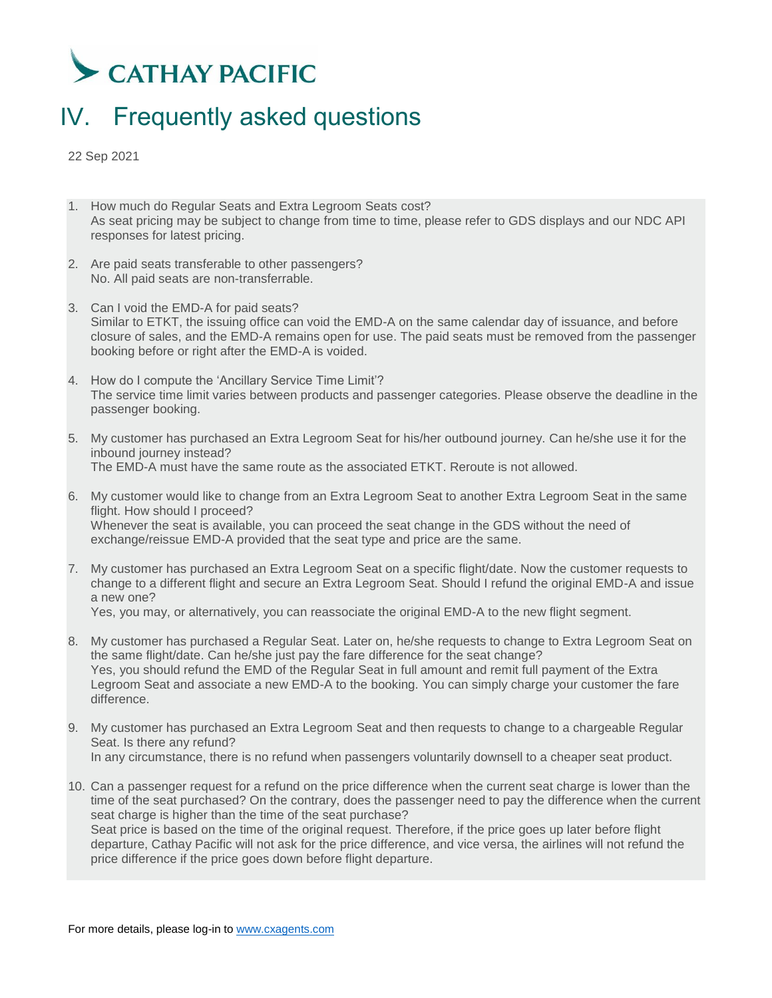### <span id="page-6-0"></span>IV. Frequently asked questions

22 Sep 2021

- 1. How much do Regular Seats and Extra Legroom Seats cost? As seat pricing may be subject to change from time to time, please refer to GDS displays and our NDC API responses for latest pricing.
- 2. Are paid seats transferable to other passengers? No. All paid seats are non-transferrable.
- 3. Can I void the EMD-A for paid seats? Similar to ETKT, the issuing office can void the EMD-A on the same calendar day of issuance, and before closure of sales, and the EMD-A remains open for use. The paid seats must be removed from the passenger booking before or right after the EMD-A is voided.
- 4. How do I compute the 'Ancillary Service Time Limit'? The service time limit varies between products and passenger categories. Please observe the deadline in the passenger booking.
- 5. My customer has purchased an Extra Legroom Seat for his/her outbound journey. Can he/she use it for the inbound journey instead? The EMD-A must have the same route as the associated ETKT. Reroute is not allowed.
- 6. My customer would like to change from an Extra Legroom Seat to another Extra Legroom Seat in the same flight. How should I proceed? Whenever the seat is available, you can proceed the seat change in the GDS without the need of exchange/reissue EMD-A provided that the seat type and price are the same.
- 7. My customer has purchased an Extra Legroom Seat on a specific flight/date. Now the customer requests to change to a different flight and secure an Extra Legroom Seat. Should I refund the original EMD-A and issue a new one?

Yes, you may, or alternatively, you can reassociate the original EMD-A to the new flight segment.

- 8. My customer has purchased a Regular Seat. Later on, he/she requests to change to Extra Legroom Seat on the same flight/date. Can he/she just pay the fare difference for the seat change? Yes, you should refund the EMD of the Regular Seat in full amount and remit full payment of the Extra Legroom Seat and associate a new EMD-A to the booking. You can simply charge your customer the fare difference.
- 9. My customer has purchased an Extra Legroom Seat and then requests to change to a chargeable Regular Seat. Is there any refund? In any circumstance, there is no refund when passengers voluntarily downsell to a cheaper seat product.
- 10. Can a passenger request for a refund on the price difference when the current seat charge is lower than the time of the seat purchased? On the contrary, does the passenger need to pay the difference when the current seat charge is higher than the time of the seat purchase? Seat price is based on the time of the original request. Therefore, if the price goes up later before flight departure, Cathay Pacific will not ask for the price difference, and vice versa, the airlines will not refund the price difference if the price goes down before flight departure.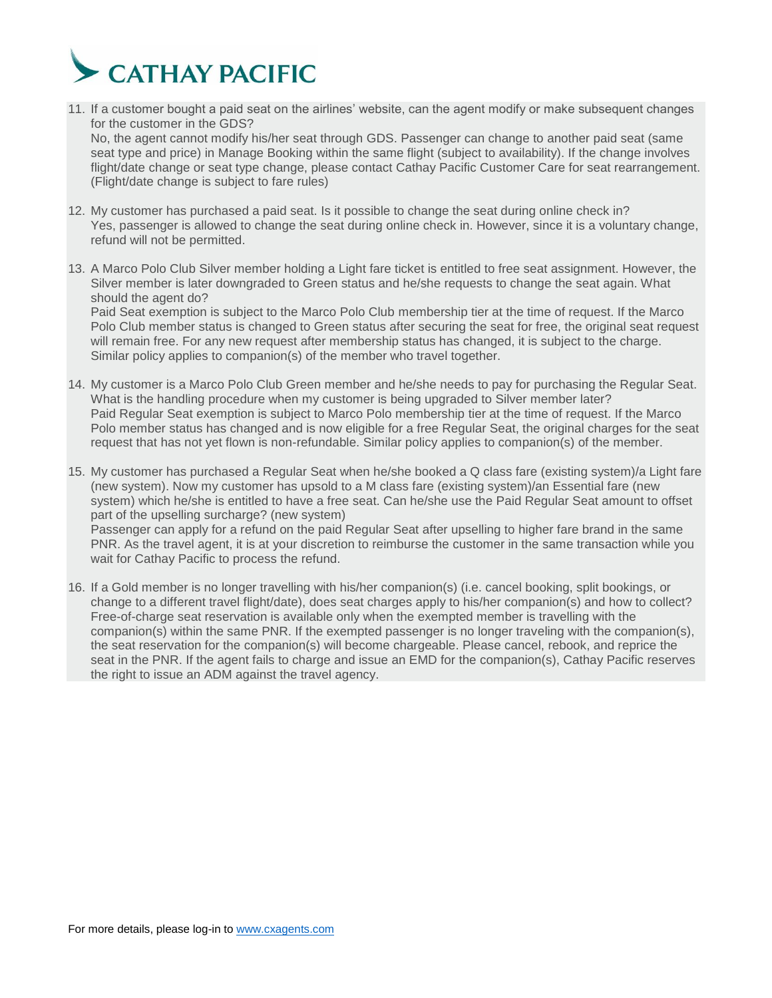

- 11. If a customer bought a paid seat on the airlines' website, can the agent modify or make subsequent changes for the customer in the GDS? No, the agent cannot modify his/her seat through GDS. Passenger can change to another paid seat (same seat type and price) in Manage Booking within the same flight (subject to availability). If the change involves flight/date change or seat type change, please contact Cathay Pacific Customer Care for seat rearrangement. (Flight/date change is subject to fare rules)
- 12. My customer has purchased a paid seat. Is it possible to change the seat during online check in? Yes, passenger is allowed to change the seat during online check in. However, since it is a voluntary change, refund will not be permitted.
- 13. A Marco Polo Club Silver member holding a Light fare ticket is entitled to free seat assignment. However, the Silver member is later downgraded to Green status and he/she requests to change the seat again. What should the agent do?

Paid Seat exemption is subject to the Marco Polo Club membership tier at the time of request. If the Marco Polo Club member status is changed to Green status after securing the seat for free, the original seat request will remain free. For any new request after membership status has changed, it is subject to the charge. Similar policy applies to companion(s) of the member who travel together.

- 14. My customer is a Marco Polo Club Green member and he/she needs to pay for purchasing the Regular Seat. What is the handling procedure when my customer is being upgraded to Silver member later? Paid Regular Seat exemption is subject to Marco Polo membership tier at the time of request. If the Marco Polo member status has changed and is now eligible for a free Regular Seat, the original charges for the seat request that has not yet flown is non-refundable. Similar policy applies to companion(s) of the member.
- 15. My customer has purchased a Regular Seat when he/she booked a Q class fare (existing system)/a Light fare (new system). Now my customer has upsold to a M class fare (existing system)/an Essential fare (new system) which he/she is entitled to have a free seat. Can he/she use the Paid Regular Seat amount to offset part of the upselling surcharge? (new system) Passenger can apply for a refund on the paid Regular Seat after upselling to higher fare brand in the same PNR. As the travel agent, it is at your discretion to reimburse the customer in the same transaction while you wait for Cathay Pacific to process the refund.
- 16. If a Gold member is no longer travelling with his/her companion(s) (i.e. cancel booking, split bookings, or change to a different travel flight/date), does seat charges apply to his/her companion(s) and how to collect? Free-of-charge seat reservation is available only when the exempted member is travelling with the companion(s) within the same PNR. If the exempted passenger is no longer traveling with the companion(s), the seat reservation for the companion(s) will become chargeable. Please cancel, rebook, and reprice the seat in the PNR. If the agent fails to charge and issue an EMD for the companion(s), Cathay Pacific reserves the right to issue an ADM against the travel agency.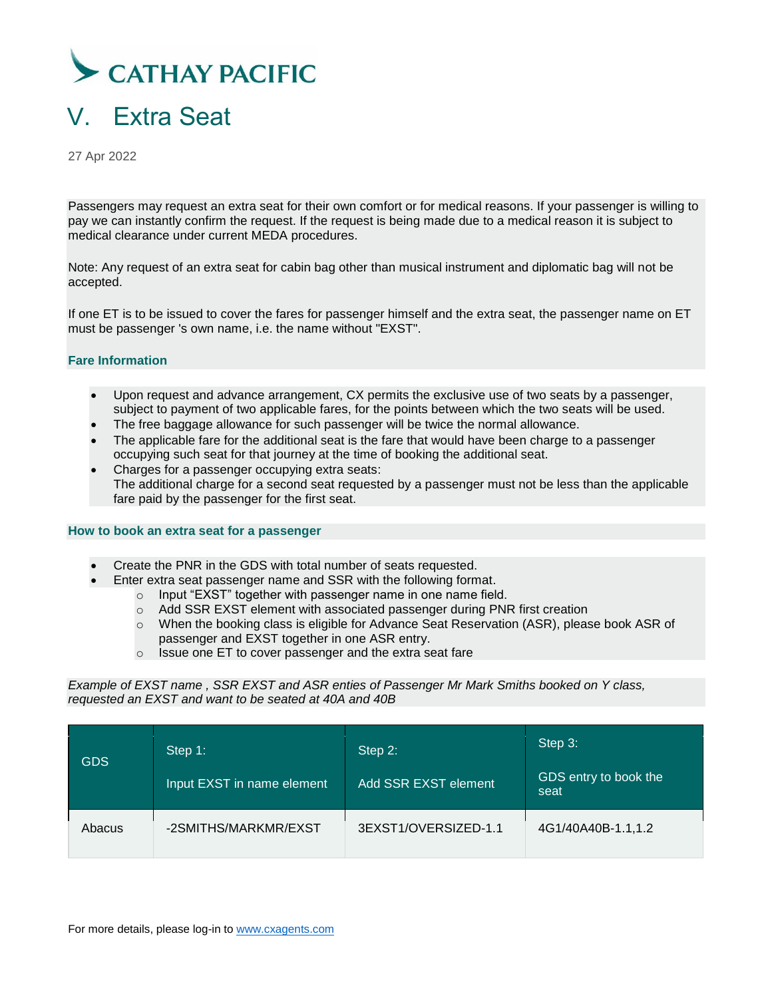

## <span id="page-8-0"></span>V. Extra Seat

27 Apr 2022

Passengers may request an extra seat for their own comfort or for medical reasons. If your passenger is willing to pay we can instantly confirm the request. If the request is being made due to a medical reason it is subject to medical clearance under current MEDA procedures.

Note: Any request of an extra seat for cabin bag other than musical instrument and diplomatic bag will not be accepted.

If one ET is to be issued to cover the fares for passenger himself and the extra seat, the passenger name on ET must be passenger 's own name, i.e. the name without "EXST".

#### **Fare Information**

- Upon request and advance arrangement, CX permits the exclusive use of two seats by a passenger, subject to payment of two applicable fares, for the points between which the two seats will be used.
- The free baggage allowance for such passenger will be twice the normal allowance.
- The applicable fare for the additional seat is the fare that would have been charge to a passenger occupying such seat for that journey at the time of booking the additional seat.
- Charges for a passenger occupying extra seats: The additional charge for a second seat requested by a passenger must not be less than the applicable fare paid by the passenger for the first seat.

#### **How to book an extra seat for a passenger**

- Create the PNR in the GDS with total number of seats requested.
	- Enter extra seat passenger name and SSR with the following format.
		- o Input "EXST" together with passenger name in one name field.
		- o Add SSR EXST element with associated passenger during PNR first creation
		- o When the booking class is eligible for Advance Seat Reservation (ASR), please book ASR of passenger and EXST together in one ASR entry.
		- o Issue one ET to cover passenger and the extra seat fare

*Example of EXST name , SSR EXST and ASR enties of Passenger Mr Mark Smiths booked on Y class, requested an EXST and want to be seated at 40A and 40B*

| <b>GDS</b> | Step 1:<br>Input EXST in name element | Step 2:<br>Add SSR EXST element | Step 3:<br>GDS entry to book the<br>seat |
|------------|---------------------------------------|---------------------------------|------------------------------------------|
| Abacus     | -2SMITHS/MARKMR/EXST                  | 3EXST1/OVERSIZED-1.1            | 4G1/40A40B-1.1,1.2                       |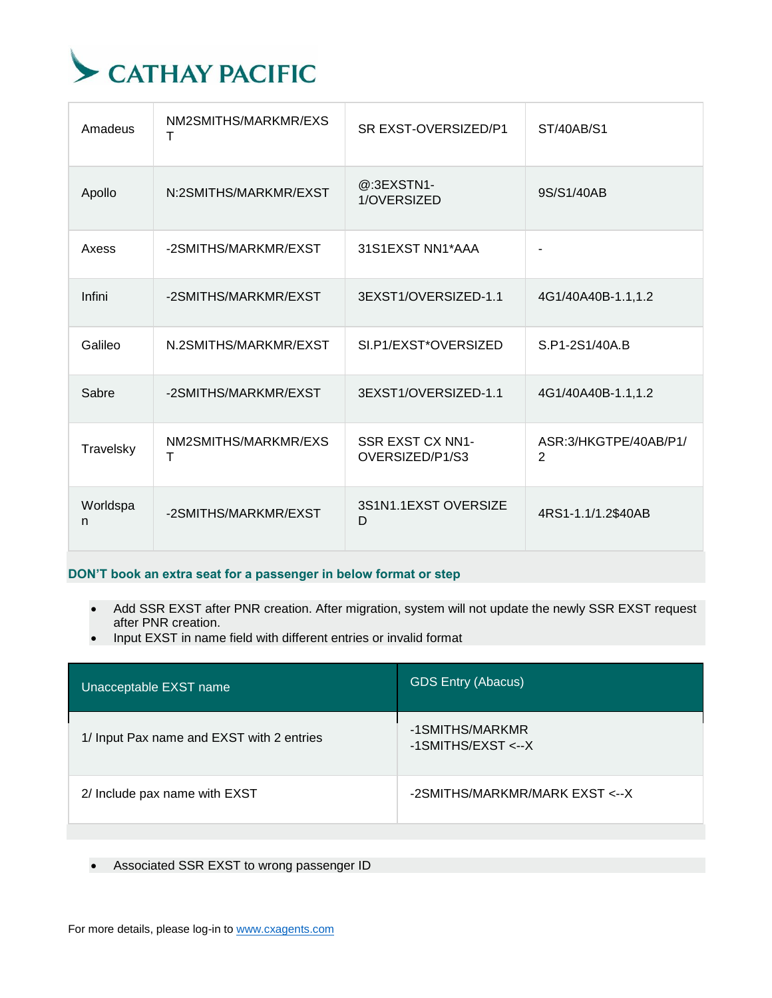

| Amadeus       | NM2SMITHS/MARKMR/EXS<br>T | SR EXST-OVERSIZED/P1                       | ST/40AB/S1                              |
|---------------|---------------------------|--------------------------------------------|-----------------------------------------|
| Apollo        | N:2SMITHS/MARKMR/EXST     | @:3EXSTN1-<br>1/OVERSIZED                  | 9S/S1/40AB                              |
| Axess         | -2SMITHS/MARKMR/EXST      | 31S1EXST NN1*AAA                           |                                         |
| Infini        | -2SMITHS/MARKMR/EXST      | 3EXST1/OVERSIZED-1.1                       | 4G1/40A40B-1.1,1.2                      |
| Galileo       | N.2SMITHS/MARKMR/EXST     | SI.P1/EXST*OVERSIZED                       | S.P1-2S1/40A.B                          |
| Sabre         | -2SMITHS/MARKMR/EXST      | 3EXST1/OVERSIZED-1.1                       | 4G1/40A40B-1.1,1.2                      |
| Travelsky     | NM2SMITHS/MARKMR/EXS<br>т | <b>SSR EXST CX NN1-</b><br>OVERSIZED/P1/S3 | ASR:3/HKGTPE/40AB/P1/<br>$\overline{2}$ |
| Worldspa<br>n | -2SMITHS/MARKMR/EXST      | 3S1N1.1EXST OVERSIZE<br>D                  | 4RS1-1.1/1.2\$40AB                      |

### **DON'T book an extra seat for a passenger in below format or step**

- Add SSR EXST after PNR creation. After migration, system will not update the newly SSR EXST request after PNR creation.
- Input EXST in name field with different entries or invalid format

| Unacceptable EXST name                    | <b>GDS Entry (Abacus)</b>                   |
|-------------------------------------------|---------------------------------------------|
| 1/ Input Pax name and EXST with 2 entries | -1SMITHS/MARKMR<br>$-1$ SMITHS/EXST <-- $X$ |
| 2/ Include pax name with EXST             | -2SMITHS/MARKMR/MARK EXST <--X              |

Associated SSR EXST to wrong passenger ID